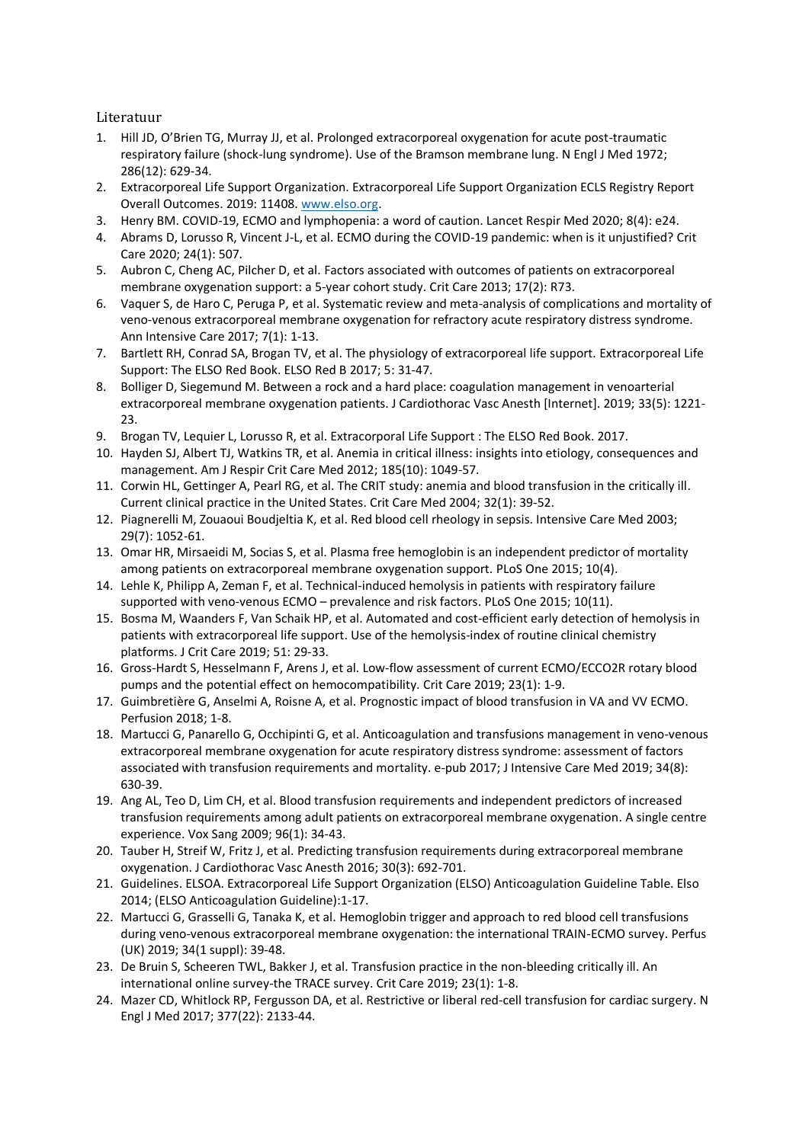Literatuur

- 1. Hill JD, O'Brien TG, Murray JJ, et al. Prolonged extracorporeal oxygenation for acute post-traumatic respiratory failure (shock-lung syndrome). Use of the Bramson membrane lung. N Engl J Med 1972; 286(12): 629-34.
- 2. Extracorporeal Life Support Organization. Extracorporeal Life Support Organization ECLS Registry Report Overall Outcomes. 2019: 11408. [www.elso.org.](http://www.elso.org/)
- 3. Henry BM. COVID-19, ECMO and lymphopenia: a word of caution. Lancet Respir Med 2020; 8(4): e24.
- 4. Abrams D, Lorusso R, Vincent J-L, et al. ECMO during the COVID-19 pandemic: when is it unjustified? Crit Care 2020; 24(1): 507.
- 5. Aubron C, Cheng AC, Pilcher D, et al. Factors associated with outcomes of patients on extracorporeal membrane oxygenation support: a 5-year cohort study. Crit Care 2013; 17(2): R73.
- 6. Vaquer S, de Haro C, Peruga P, et al. Systematic review and meta-analysis of complications and mortality of veno-venous extracorporeal membrane oxygenation for refractory acute respiratory distress syndrome. Ann Intensive Care 2017; 7(1): 1-13.
- 7. Bartlett RH, Conrad SA, Brogan TV, et al. The physiology of extracorporeal life support. Extracorporeal Life Support: The ELSO Red Book. ELSO Red B 2017; 5: 31-47.
- 8. Bolliger D, Siegemund M. Between a rock and a hard place: coagulation management in venoarterial extracorporeal membrane oxygenation patients. J Cardiothorac Vasc Anesth [Internet]. 2019; 33(5): 1221- 23.
- 9. Brogan TV, Lequier L, Lorusso R, et al. Extracorporal Life Support : The ELSO Red Book. 2017.
- 10. Hayden SJ, Albert TJ, Watkins TR, et al. Anemia in critical illness: insights into etiology, consequences and management. Am J Respir Crit Care Med 2012; 185(10): 1049-57.
- 11. Corwin HL, Gettinger A, Pearl RG, et al. The CRIT study: anemia and blood transfusion in the critically ill. Current clinical practice in the United States. Crit Care Med 2004; 32(1): 39-52.
- 12. Piagnerelli M, Zouaoui Boudjeltia K, et al. Red blood cell rheology in sepsis. Intensive Care Med 2003; 29(7): 1052-61.
- 13. Omar HR, Mirsaeidi M, Socias S, et al. Plasma free hemoglobin is an independent predictor of mortality among patients on extracorporeal membrane oxygenation support. PLoS One 2015; 10(4).
- 14. Lehle K, Philipp A, Zeman F, et al. Technical-induced hemolysis in patients with respiratory failure supported with veno-venous ECMO – prevalence and risk factors. PLoS One 2015; 10(11).
- 15. Bosma M, Waanders F, Van Schaik HP, et al. Automated and cost-efficient early detection of hemolysis in patients with extracorporeal life support. Use of the hemolysis-index of routine clinical chemistry platforms. J Crit Care 2019; 51: 29-33.
- 16. Gross-Hardt S, Hesselmann F, Arens J, et al. Low-flow assessment of current ECMO/ECCO2R rotary blood pumps and the potential effect on hemocompatibility. Crit Care 2019; 23(1): 1-9.
- 17. Guimbretière G, Anselmi A, Roisne A, et al. Prognostic impact of blood transfusion in VA and VV ECMO. Perfusion 2018; 1-8.
- 18. Martucci G, Panarello G, Occhipinti G, et al. Anticoagulation and transfusions management in veno-venous extracorporeal membrane oxygenation for acute respiratory distress syndrome: assessment of factors associated with transfusion requirements and mortality. e-pub 2017; J Intensive Care Med 2019; 34(8): 630-39.
- 19. Ang AL, Teo D, Lim CH, et al. Blood transfusion requirements and independent predictors of increased transfusion requirements among adult patients on extracorporeal membrane oxygenation. A single centre experience. Vox Sang 2009; 96(1): 34-43.
- 20. Tauber H, Streif W, Fritz J, et al. Predicting transfusion requirements during extracorporeal membrane oxygenation. J Cardiothorac Vasc Anesth 2016; 30(3): 692-701.
- 21. Guidelines. ELSOA. Extracorporeal Life Support Organization (ELSO) Anticoagulation Guideline Table. Elso 2014; (ELSO Anticoagulation Guideline):1-17.
- 22. Martucci G, Grasselli G, Tanaka K, et al. Hemoglobin trigger and approach to red blood cell transfusions during veno-venous extracorporeal membrane oxygenation: the international TRAIN-ECMO survey. Perfus (UK) 2019; 34(1 suppl): 39-48.
- 23. De Bruin S, Scheeren TWL, Bakker J, et al. Transfusion practice in the non-bleeding critically ill. An international online survey-the TRACE survey. Crit Care 2019; 23(1): 1-8.
- 24. Mazer CD, Whitlock RP, Fergusson DA, et al. Restrictive or liberal red-cell transfusion for cardiac surgery. N Engl J Med 2017; 377(22): 2133-44.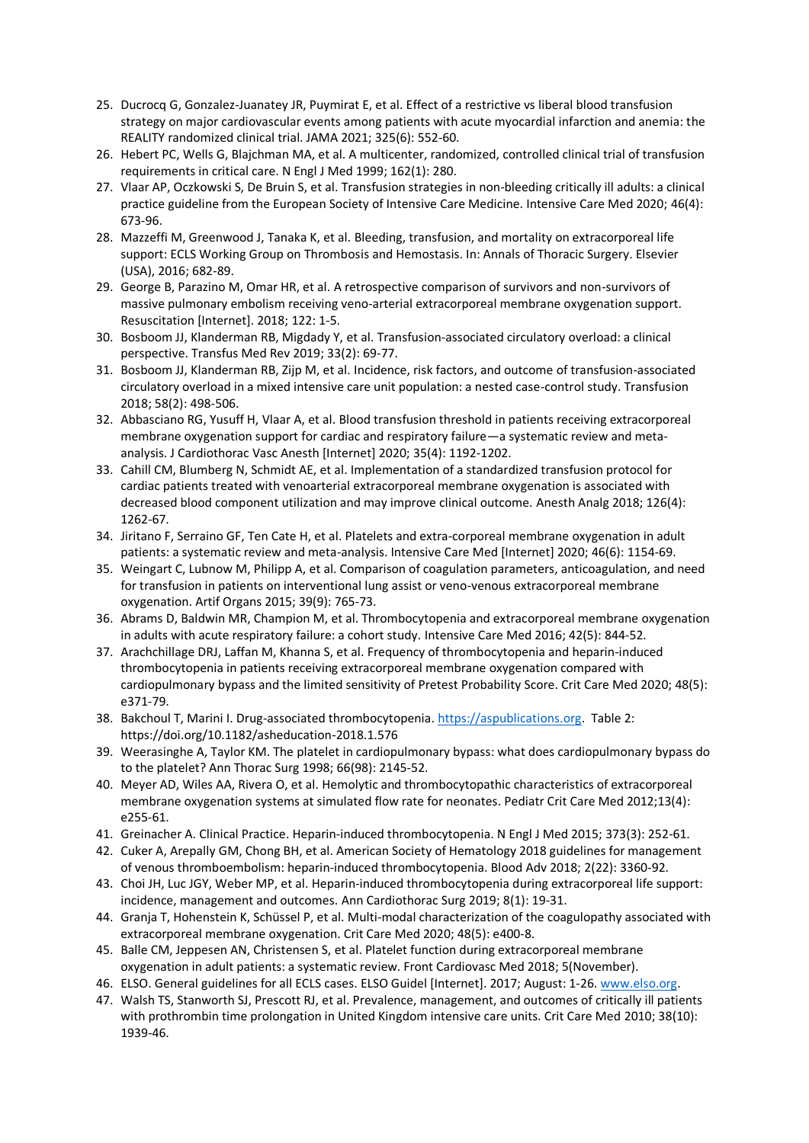- 25. Ducrocq G, Gonzalez-Juanatey JR, Puymirat E, et al. Effect of a restrictive vs liberal blood transfusion strategy on major cardiovascular events among patients with acute myocardial infarction and anemia: the REALITY randomized clinical trial. JAMA 2021; 325(6): 552-60.
- 26. Hebert PC, Wells G, Blajchman MA, et al. A multicenter, randomized, controlled clinical trial of transfusion requirements in critical care. N Engl J Med 1999; 162(1): 280.
- 27. Vlaar AP, Oczkowski S, De Bruin S, et al. Transfusion strategies in non-bleeding critically ill adults: a clinical practice guideline from the European Society of Intensive Care Medicine. Intensive Care Med 2020; 46(4): 673-96.
- 28. Mazzeffi M, Greenwood J, Tanaka K, et al. Bleeding, transfusion, and mortality on extracorporeal life support: ECLS Working Group on Thrombosis and Hemostasis. In: Annals of Thoracic Surgery. Elsevier (USA), 2016; 682-89.
- 29. George B, Parazino M, Omar HR, et al. A retrospective comparison of survivors and non-survivors of massive pulmonary embolism receiving veno-arterial extracorporeal membrane oxygenation support. Resuscitation [Internet]. 2018; 122: 1-5.
- 30. Bosboom JJ, Klanderman RB, Migdady Y, et al. Transfusion-associated circulatory overload: a clinical perspective. Transfus Med Rev 2019; 33(2): 69-77.
- 31. Bosboom JJ, Klanderman RB, Zijp M, et al. Incidence, risk factors, and outcome of transfusion-associated circulatory overload in a mixed intensive care unit population: a nested case-control study. Transfusion 2018; 58(2): 498-506.
- 32. Abbasciano RG, Yusuff H, Vlaar A, et al. Blood transfusion threshold in patients receiving extracorporeal membrane oxygenation support for cardiac and respiratory failure—a systematic review and metaanalysis. J Cardiothorac Vasc Anesth [Internet] 2020; 35(4): 1192-1202.
- 33. Cahill CM, Blumberg N, Schmidt AE, et al. Implementation of a standardized transfusion protocol for cardiac patients treated with venoarterial extracorporeal membrane oxygenation is associated with decreased blood component utilization and may improve clinical outcome. Anesth Analg 2018; 126(4): 1262-67.
- 34. Jiritano F, Serraino GF, Ten Cate H, et al. Platelets and extra-corporeal membrane oxygenation in adult patients: a systematic review and meta-analysis. Intensive Care Med [Internet] 2020; 46(6): 1154-69.
- 35. Weingart C, Lubnow M, Philipp A, et al. Comparison of coagulation parameters, anticoagulation, and need for transfusion in patients on interventional lung assist or veno-venous extracorporeal membrane oxygenation. Artif Organs 2015; 39(9): 765-73.
- 36. Abrams D, Baldwin MR, Champion M, et al. Thrombocytopenia and extracorporeal membrane oxygenation in adults with acute respiratory failure: a cohort study. Intensive Care Med 2016; 42(5): 844-52.
- 37. Arachchillage DRJ, Laffan M, Khanna S, et al. Frequency of thrombocytopenia and heparin-induced thrombocytopenia in patients receiving extracorporeal membrane oxygenation compared with cardiopulmonary bypass and the limited sensitivity of Pretest Probability Score. Crit Care Med 2020; 48(5): e371-79.
- 38. Bakchoul T, Marini I. Drug-associated thrombocytopenia. [https://aspublications.org.](https://aspublications.org/) Table 2: <https://doi.org/10.1182/asheducation-2018.1.576>
- 39. Weerasinghe A, Taylor KM. The platelet in cardiopulmonary bypass: what does cardiopulmonary bypass do to the platelet? Ann Thorac Surg 1998; 66(98): 2145-52.
- 40. Meyer AD, Wiles AA, Rivera O, et al. Hemolytic and thrombocytopathic characteristics of extracorporeal membrane oxygenation systems at simulated flow rate for neonates. Pediatr Crit Care Med 2012;13(4): e255-61.
- 41. Greinacher A. Clinical Practice. Heparin-induced thrombocytopenia. N Engl J Med 2015; 373(3): 252-61.
- 42. Cuker A, Arepally GM, Chong BH, et al. American Society of Hematology 2018 guidelines for management of venous thromboembolism: heparin-induced thrombocytopenia. Blood Adv 2018; 2(22): 3360-92.
- 43. Choi JH, Luc JGY, Weber MP, et al. Heparin-induced thrombocytopenia during extracorporeal life support: incidence, management and outcomes. Ann Cardiothorac Surg 2019; 8(1): 19-31.
- 44. Granja T, Hohenstein K, Schüssel P, et al. Multi-modal characterization of the coagulopathy associated with extracorporeal membrane oxygenation. Crit Care Med 2020; 48(5): e400-8.
- 45. Balle CM, Jeppesen AN, Christensen S, et al. Platelet function during extracorporeal membrane oxygenation in adult patients: a systematic review. Front Cardiovasc Med 2018; 5(November).
- 46. ELSO. General guidelines for all ECLS cases. ELSO Guidel [Internet]. 2017; August: 1-26. [www.elso.org.](http://www.elso.org/)
- 47. Walsh TS, Stanworth SJ, Prescott RJ, et al. Prevalence, management, and outcomes of critically ill patients with prothrombin time prolongation in United Kingdom intensive care units. Crit Care Med 2010; 38(10): 1939-46.